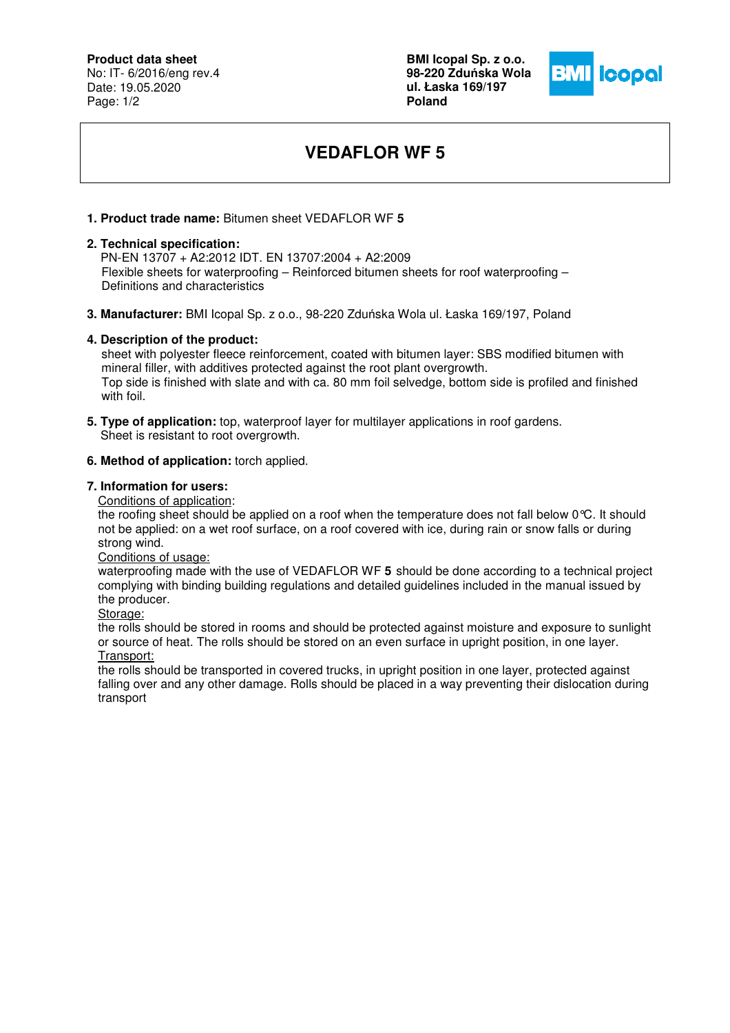## **Product data sheet**

No: IT- 6/2016/eng rev.4 Date: 19.05.2020 Page: 1/2

**BMI Icopal Sp. z o.o. 98-220 Zdu**ń**ska Wola ul. Łaska 169/197 Poland** 



# **VEDAFLOR WF 5**

### **1. Product trade name:** Bitumen sheet VEDAFLOR WF **5**

#### **2. Technical specification:**

 PN-EN 13707 + A2:2012 IDT. EN 13707:2004 + A2:2009 Flexible sheets for waterproofing – Reinforced bitumen sheets for roof waterproofing – Definitions and characteristics

**3. Manufacturer:** BMI Icopal Sp. z o.o., 98-220 Zduńska Wola ul. Łaska 169/197, Poland

#### **4. Description of the product:**

 sheet with polyester fleece reinforcement, coated with bitumen layer: SBS modified bitumen with mineral filler, with additives protected against the root plant overgrowth. Top side is finished with slate and with ca. 80 mm foil selvedge, bottom side is profiled and finished with foil.

**5. Type of application:** top, waterproof layer for multilayer applications in roof gardens. Sheet is resistant to root overgrowth.

#### **6. Method of application:** torch applied.

#### **7. Information for users:**

Conditions of application:

the roofing sheet should be applied on a roof when the temperature does not fall below 0°C. It should not be applied: on a wet roof surface, on a roof covered with ice, during rain or snow falls or during strong wind.

Conditions of usage:

waterproofing made with the use of VEDAFLOR WF **5** should be done according to a technical project complying with binding building regulations and detailed guidelines included in the manual issued by the producer.

Storage:

the rolls should be stored in rooms and should be protected against moisture and exposure to sunlight or source of heat. The rolls should be stored on an even surface in upright position, in one layer. Transport:

the rolls should be transported in covered trucks, in upright position in one layer, protected against falling over and any other damage. Rolls should be placed in a way preventing their dislocation during transport